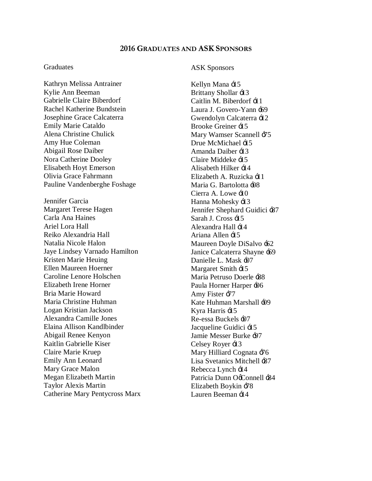# **2016 GRADUATES AND ASK SPONSORS**

### **Graduates**

Kathryn Melissa Antrainer Kylie Ann Beeman Gabrielle Claire Biberdorf Rachel Katherine Bundstein Josephine Grace Calcaterra Emily Marie Cataldo Alena Christine Chulick Amy Hue Coleman Abigail Rose Daiber Nora Catherine Dooley Elisabeth Hoyt Emerson Olivia Grace Fahrmann Pauline Vandenberghe Foshage Jennifer Garcia Margaret Terese Hagen Carla Ana Haines Ariel Lora Hall Reiko Alexandria Hall Natalia Nicole Halon Jaye Lindsey Varnado Hamilton Kristen Marie Heuing Ellen Maureen Hoerner Caroline Lenore Holschen Elizabeth Irene Horner Bria Marie Howard Maria Christine Huhman Logan Kristian Jackson Alexandra Camille Jones Elaina Allison Kandlbinder Abigail Renee Kenyon Kaitlin Gabrielle Kiser Claire Marie Kruep Emily Ann Leonard Mary Grace Malon Megan Elizabeth Martin Taylor Alexis Martin Catherine Mary Pentycross Marx

# ASK Sponsors

Kellyn Mana  $\pm 5$ Brittany Shollar  $\pm$ 13 Caitlin M. Biberdorf  $\pm 11$ Laura J. Govero-Yann -69 Gwendolyn Calcaterra '12 Brooke Greiner '15 Mary Wamser Scannell  $-75$ Drue McMichael  $-15$ Amanda Daiber  $\pm 3$ Claire Middeke '15 Alisabeth Hilker  $\pm 14$ Elizabeth A. Ruzicka '11 Maria G. Bartolotta +08 Cierra A. Lowe  $\pm 10$ Hanna Mohesky  $\div 13$ Jennifer Shephard Guidici  $-87$ Sarah J. Cross  $\pm 5$ Alexandra Hall  $\div 14$ Ariana Allen '15 Maureen Doyle DiSalvo '62 Janice Calcaterra Shayne '69 Danielle L. Mask -07 Margaret Smith  $\pm 15$ Maria Petruso Doerle '88 Paula Horner Harper  $\div 06$ Amy Fister  $-77$ Kate Huhman Marshall  $\pm 09$ Kyra Harris  $\pm 5$ Re-essa Buckels  $\pm 07$ Jacqueline Guidici  $\pm 15$ Jamie Messer Burke '97 Celsey Royer : 13 Mary Hilliard Cognata  $-76$ Lisa Svetanics Mitchell '87 Rebecca Lynch  $\div 14$ Patricia Dunn OcConnell :84 Elizabeth Boykin '78 Lauren Beeman  $\exists$  4